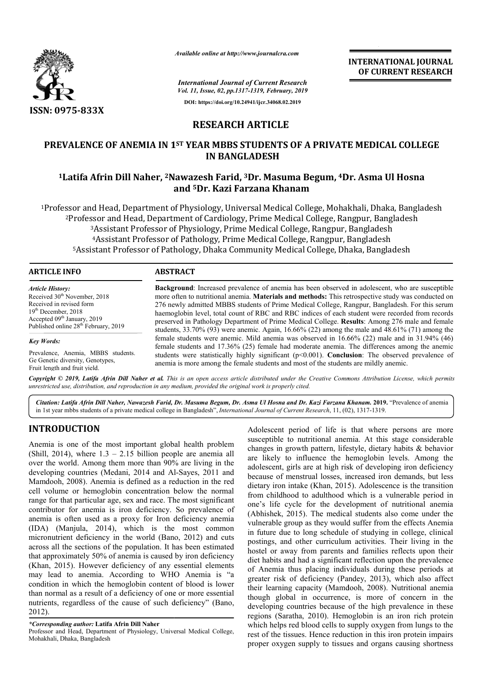

*Available online at http://www.journalcra.com*

**INTERNATIONAL JOURNAL OF CURRENT RESEARCH**

*International Journal of Current Research*

*Vol. 11, Issue, 02, pp.1317-1319, February, 2019* **DOI: https://doi.org/10.24941/ijcr.34068.02.2019**

## **RESEARCH ARTICLE**

# PREVALENCE OF ANEMIA IN 1<sup>st</sup> YEAR MBBS STUDENTS OF A PRIVATE MEDICAL COLLEGE EVALENCE OF ANEMIA IN 1<sup>st</sup> YEAR MBBS STUDENTS OF A PRIVATE MEDICAL COLLEGE<br>IN BANGLADESH<br><sup>1</sup>Latifa Afrin Dill Naher, <sup>2</sup>Nawazesh Farid, <sup>3</sup>Dr. Masuma Begum, <sup>4</sup>Dr. Asma Ul Hosna **IN BANGLADESH**

# **and 5Dr. Kazi Farzana Khanam**

<sup>1</sup>Professor and Head, Department of Physiology, Universal Medical College, Mohakhali, Dhaka, Bangladesh<br><sup>2</sup>Professor and Head, Department of Cardiology, Prime Medical College, Rangpur, Bangladesh<br><sup>3</sup>Assistant Professor of 2Professor and Head, Department of Cardiology, Prime Medical College, Rangpur Rangpur, Bangladesh 3Assistant Professor of Physiology, Prime Medical College, Rangpur , Bangladesh <sup>4</sup>Assistant Professor of Pathology, Prime Medical College, Rangpur, Bangladesh 5Assistant Professor of Pathology, Dhaka Community Medical College, Dhaka, Bangladesh

| <b>ARTICLE INFO</b>                                                                                                                                                                                                     | <b>ABSTRACT</b>                                                                                                                                                                                                                                                                                                                                                                                                                                                                                                                                                                                                                 |
|-------------------------------------------------------------------------------------------------------------------------------------------------------------------------------------------------------------------------|---------------------------------------------------------------------------------------------------------------------------------------------------------------------------------------------------------------------------------------------------------------------------------------------------------------------------------------------------------------------------------------------------------------------------------------------------------------------------------------------------------------------------------------------------------------------------------------------------------------------------------|
| <b>Article History:</b><br>Received 30 <sup>th</sup> November, 2018<br>Received in revised form<br>$19th$ December, 2018<br>Accepted 09 <sup>th</sup> January, 2019<br>Published online 28 <sup>th</sup> February, 2019 | <b>Background:</b> Increased prevalence of anemia has been observed in adolescent, who are susceptible<br>more often to nutritional anemia. Materials and methods: This retrospective study was conducted on<br>276 newly admitted MBBS students of Prime Medical College, Rangpur, Bangladesh. For this serum<br>haemoglobin level, total count of RBC and RBC indices of each student were recorded from records<br>preserved in Pathology Department of Prime Medical College. Results: Among 276 male and female<br>students, $33.70\%$ (93) were anemic. Again, $16.66\%$ (22) among the male and $48.61\%$ (71) among the |
| <b>Key Words:</b>                                                                                                                                                                                                       | female students were anemic. Mild anemia was observed in 16.66% (22) male and in 31.94% (46)<br>female students and 17.36% (25) female had moderate anemia. The differences among the anemic                                                                                                                                                                                                                                                                                                                                                                                                                                    |
| Prevalence, Anemia, MBBS students.<br>Ge Genetic diversity, Genotypes,<br>Fruit length and fruit yield.                                                                                                                 | students were statistically highly significant $(p<0.001)$ . Conclusion: The observed prevalence of<br>anemia is more among the female students and most of the students are mildly anemic.                                                                                                                                                                                                                                                                                                                                                                                                                                     |

Copyright © 2019, Latifa Afrin Dill Naher et al. This is an open access article distributed under the Creative Commons Attribution License, which permits *unrestricted use, distribution, and reproduction in any medium, provided the original work is properly cited.*

Citation: Latifa Afrin Dill Naher, Nawazesh Farid, Dr. Masuma Begum, Dr. Asma Ul Hosna and Dr. Kazi Farzana Khanam. 2019. "Prevalence of anemia in 1st year mbbs students of a private medical college in Bangladesh Bangladesh", *International Journal of Current Research*, 11, (02 02), 1317-1319.

### **INTRODUCTION**

Anemia is one of the most important global health problem (Shill, 2014), where 1.3 – 2.15 billion people are anemia all over the world. Among them more than 90% are living in the developing countries (Medani, 2014 and Al Al-Sayes, 2011 and Mamdooh, 2008). Anemia is defined as a reduction in the red cell volume or hemoglobin concentration below the normal range for that particular age, sex and race. The most significant contributor for anemia is iron deficiency. So prevalence of anemia is often used as a proxy for Iron deficiency anemia (IDA) (Manjula, 2014), which is the most common micronutrient deficiency in the world (Bano, 2012) and cuts across all the sections of the population. It has been estimated that approximately 50% of anemia is caused by iron deficiency (Khan, 2015). However deficiency of any essential elements (Khan, 2015). However deficiency of any essential elements<br>may lead to anemia. According to WHO Anemia is "a condition in which the hemoglobin content of blood is lower than normal as a result of a deficiency of one or more essential nutrients, regardless of the cause of such deficiency" (Bano, 2012). hat particular age, sex and race. The most significant<br>r for anemia is iron deficiency. So prevalence of<br>often used as a proxy for Iron deficiency anemia<br>*Aanjula*, 2014), which is the most common<br>ent deficiency in the wor Adolescent period of life is that where persons are more susceptible to nutritional anemia. At this stage considerable changes in growth pattern, lifestyle, dietary habits  $\&$  behavior are likely to influence the hemoglobin levels. Among the adolescent, girls are at high risk of developing iron deficiency because of menstrual losses, increased iron demands, but less dietary iron intake (Khan, 2015). Adolescence is the transition from childhood to adulthood which is a vulnerable period in one's life cycle for the development of nutritional anemia (Abhishek, 2015). The medical students also come under the from childhood to adulthood which is a vulnerable period in one's life cycle for the development of nutritional anemia (Abhishek, 2015). The medical students also come under the vulnerable group as they would suffer from t in future due to long schedule of studying in college, clinical postings, and other curriculum activities. Their living in the hostel or away from parents and families reflects upon their diet habits and had a significant reflection upon the prevalence of Anemia thus placing individuals during these periods at of Anemia thus placing individuals during these periods at greater risk of deficiency (Pandey, 2013), which also affect their learning capacity (Mamdooh, 2008). Nutritional anemia though global in occurrence, is more of concern in the developing countries because of the high prevalence in these regions (Saratha, 2010). Hemoglobin is an iron rich protein which helps red blood cells to supply oxygen from lungs to the rest of the tissues. Hence reduction in this iron protein impairs proper oxygen supply to tissues and organs causing shortness Adolescent period of life is that where persons are more susceptible to nutritional anemia. At this stage considerable changes in growth pattern, lifestyle, dietary habits & behavior fluence the hemoglobin levels. Among the are at high risk of developing iron deficiency trual losses, increased iron demands, but less te (Khan, 2015). Adolescence is the transition lour to long schedule of studying in college, clinical<br>nd other curriculum activities. Their living in the<br>way from parents and families reflects upon their<br>and had a significant reflection upon the prevalence INTERNATIONAL JOURNAL<br>
Front Research<br>
For CURRENT RESEARCH<br>
Front Research<br>
TICLE<br>
DENTS OF A PRIVATE MEDICAL COLLEGE<br>
ESH<br>
Masuma Begum, <sup>4</sup>Dr. Asma Ul Hosna<br>
and Medical College, Rangpur, Bangladesh<br>
Masuma Begum, <sup>4</sup>Dr

*<sup>\*</sup>Corresponding author:* **Latifa Afrin Dill Naher**

Professor and Head, Department of Physiology, Universal Medical College, Mohakhali, Dhaka, Bangladesh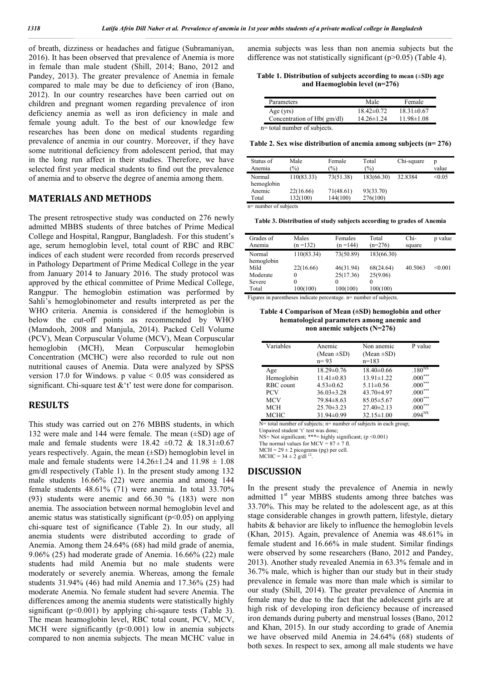of breath, dizziness or headaches and fatigue (Subramaniyan, 2016). It has been observed that prevalence of Anemia is more in female than male student (Shill, 2014; Bano, 2012 and Pandey, 2013). The greater prevalence of Anemia in female compared to male may be due to deficiency of iron (Bano, 2012). In our country researches have been carried out on children and pregnant women regarding prevalence of iron deficiency anemia as well as iron deficiency in male and female young adult. To the best of our knowledge few researches has been done on medical students regarding prevalence of anemia in our country. Moreover, if they have some nutritional deficiency from adolescent period, that may in the long run affect in their studies. Therefore, we have selected first year medical students to find out the prevalence of anemia and to observe the degree of anemia among them.

#### **MATERIALS AND METHODS**

The present retrospective study was conducted on 276 newly admitted MBBS students of three batches of Prime Medical College and Hospital, Rangpur, Bangladesh. For this student's age, serum hemoglobin level, total count of RBC and RBC indices of each student were recorded from records preserved in Pathology Department of Prime Medical College in the year from January 2014 to January 2016. The study protocol was approved by the ethical committee of Prime Medical College, Rangpur. The hemoglobin estimation was performed by Sahli's hemoglobinometer and results interpreted as per the WHO criteria. Anemia is considered if the hemoglobin is below the cut-off points as recommended by WHO (Mamdooh, 2008 and Manjula, 2014). Packed Cell Volume (PCV), Mean Corpuscular Volume (MCV), Mean Corpuscular hemoglobin (MCH), Mean Corpuscular hemoglobin Concentration (MCHC) were also recorded to rule out non nutritional causes of Anemia. Data were analyzed by SPSS version 17.0 for Windows. p value < 0.05 was considered as significant. Chi-square test &'t' test were done for comparison.

#### **RESULTS**

This study was carried out on 276 MBBS students, in which 132 were male and 144 were female. The mean  $(\pm SD)$  age of male and female students were  $18.42 \pm 0.72$  &  $18.31 \pm 0.67$ years respectively. Again, the mean (±SD) hemoglobin level in male and female students were  $14.26 \pm 1.24$  and  $11.98 \pm 1.08$ gm/dl respectively (Table 1). In the present study among 132 male students 16.66% (22) were anemia and among 144 female students 48.61% (71) were anemia. In total 33.70% (93) students were anemic and 66.30 % (183) were non anemia. The association between normal hemoglobin level and anemic status was statistically significant  $(p<0.05)$  on applying chi-square test of significance (Table 2). In our study, all anemia students were distributed according to grade of Anemia. Among them 24.64% (68) had mild grade of anemia, 9.06% (25) had moderate grade of Anemia. 16.66% (22) male students had mild Anemia but no male students were moderately or severely anemia. Whereas, among the female students 31.94% (46) had mild Anemia and 17.36% (25) had moderate Anemia. No female student had severe Anemia. The differences among the anemia students were statistically highly significant ( $p<0.001$ ) by applying chi-sqaure tests (Table 3). The mean heamoglobin level, RBC total count, PCV, MCV, MCH were significantly  $(p<0.001)$  low in anemia subjects compared to non anemia subjects. The mean MCHC value in

anemia subjects was less than non anemia subjects but the difference was not statistically significant (p>0.05) (Table 4).

**Table 1. Distribution of subjects according to mean (**±**SD) age and Haemoglobin level (n=276)**

| Parameters                   | Male             | Female           |
|------------------------------|------------------|------------------|
| Age (yrs)                    | $18.42\pm0.72$   | $18.31 \pm 0.67$ |
| Concentration of Hb( gm/dl)  | $14.26 \pm 1.24$ | $11.98 \pm 1.08$ |
| n= total number of subjects. |                  |                  |

**Table 2. Sex wise distribution of anemia among subjects (n= 276)**

| Status of<br>Anemia  | Male<br>$\%$ | Female<br>$\frac{1}{2}$ | Total<br>(%) | Chi-square | p<br>value |
|----------------------|--------------|-------------------------|--------------|------------|------------|
| Normal<br>hemoglobin | 110(83.33)   | 73(51.38)               | 183(66.30)   | 32.8384    | < 0.05     |
| Anemic               | 22(16.66)    | 71(48.61)               | 93(33.70)    |            |            |
| Total                | 132(100)     | 144(100)                | 276(100)     |            |            |

n= number of subjects

**Table 3. Distribution of study subjects according to grades of Anemia**

| Grades of<br>Anemia  | Males<br>$(n=132)$ | Females<br>$(n = 144)$ | Total<br>$(n=276)$ | Chi-<br>square | p value |
|----------------------|--------------------|------------------------|--------------------|----------------|---------|
| Normal<br>hemoglobin | 110(83.34)         | 73(50.89)              | 183(66.30)         |                |         |
| Mild                 | 22(16.66)          | 46(31.94)              | 68(24.64)          | 40.5063        | < 0.001 |
| Moderate             | 0                  | 25(17.36)              | 25(9.06)           |                |         |
| Severe               | 0                  | 0                      | $\theta$           |                |         |
| Total                | 100(100)           | 100(100)               | 100(100)           |                |         |

Figures in parentheses indicate percentage. n= number of subjects.

**Table 4 Comparison of Mean (±SD) hemoglobin and other hematological parameters among anemic and non anemic subjects (N=276)**

| Variables   | Anemic<br>(Mean $\pm SD$ )<br>$n = 93$ | Non anemic<br>(Mean $\pm SD$ )<br>$n=183$ | P value                  |
|-------------|----------------------------------------|-------------------------------------------|--------------------------|
| Age         | $18.29 \pm 0.76$                       | $18.40\pm0.66$                            | $.180^{N_{\rm s}}$       |
| Hemoglobin  | $11.41 \pm 0.83$                       | $13.91 \pm 1.22$                          | ***<br>.000'             |
| RBC count   | $4.53 \pm 0.62$                        | $5.11 \pm 0.56$                           | $.000***$                |
| <b>PCV</b>  | $36.03 \pm 3.28$                       | 43.70±4.97                                | .000 <sup>°</sup>        |
| <b>MCV</b>  | $79.84 \pm 8.63$                       | $85.05 \pm 5.67$                          | ***<br>.000              |
| <b>MCH</b>  | $25.70 \pm 3.23$                       | $27.40 \pm 2.13$                          | ***<br>.000 <sup>°</sup> |
| <b>MCHC</b> | $31.94 \pm 0.99$                       | $32.15 \pm 1.00$                          | .094 <sup>NS</sup>       |

N= total number of subjects; n= number of subjects in each group;

Unpaired student 't' test was done;

NS= Not significant; \*\*\*= highly significant; (p <0.001)

The normal values for  $MCV = 87 \pm 7$  fl.

 $MCH = 29 \pm 2$  picograms (pg) per cell.

MCHC =  $34 \pm 2$  g/dl<sup>12</sup>.

#### **DISCUSSION**

In the present study the prevalence of Anemia in newly admitted 1<sup>st</sup> year MBBS students among three batches was 33.70%. This may be related to the adolescent age, as at this stage considerable changes in growth pattern, lifestyle, dietary habits & behavior are likely to influence the hemoglobin levels (Khan, 2015). Again, prevalence of Anemia was 48.61% in female student and 16.66% in male student. Similar findings were observed by some researchers (Bano, 2012 and Pandey, 2013). Another study revealed Anemia in 63.3% female and in 36.7% male, which is higher than our study but in their study prevalence in female was more than male which is similar to our study (Shill, 2014). The greater prevalence of Anemia in female may be due to the fact that the adolescent girls are at high risk of developing iron deficiency because of increased iron demands during puberty and menstrual losses (Bano, 2012 and Khan, 2015). In our study according to grade of Anemia we have observed mild Anemia in 24.64% (68) students of both sexes. In respect to sex, among all male students we have